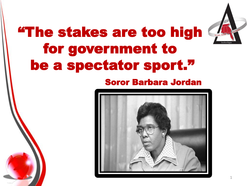## "The stakes are too high for government to be a spectator sport."

#### Soror Barbara Jordan

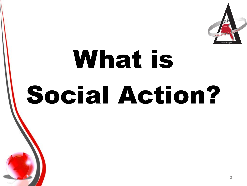

# What is Social Action?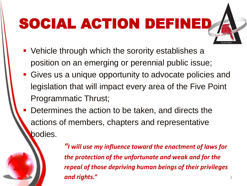## SOCIAL ACTION DEFINED

- Vehicle through which the sorority establishes a position on an emerging or perennial public issue;
- Gives us a unique opportunity to advocate policies and legislation that will impact every area of the Five Point Programmatic Thrust;
- Determines the action to be taken, and directs the actions of members, chapters and representative bodies.

*"I will use my influence toward the enactment of laws for the protection of the unfortunate and weak and for the repeal of those depriving human beings of their privileges and rights."* <sup>3</sup>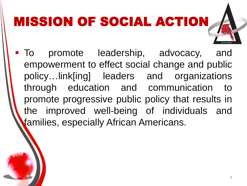## MISSION OF SOCIAL ACTION

 To promote leadership, advocacy, and empowerment to effect social change and public policy…link[ing] leaders and organizations through education and communication to promote progressive public policy that results in the improved well-being of individuals and families, especially African Americans.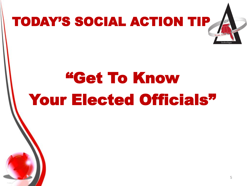

# "Get To Know Your Elected Officials"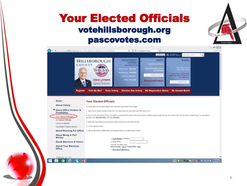#### Your Elected Officials votehillsborough.org pascovotes.com

|                                                                        | ■あ Translations by<br>日本 Microsoft <sup>®</sup> Translator<br><b>ESPANOL</b><br>Input your search                                                                                                                                                                                                                                                                                                                                   |  |  |  |  |  |
|------------------------------------------------------------------------|-------------------------------------------------------------------------------------------------------------------------------------------------------------------------------------------------------------------------------------------------------------------------------------------------------------------------------------------------------------------------------------------------------------------------------------|--|--|--|--|--|
|                                                                        | <b>NEWS</b><br><b>DATES</b><br><b>REGISTERED</b><br><b>HILLSBOROUGH</b><br><b>VOTERS</b><br>Knight News Challenge<br>COUNTY<br>as of 09/17/15<br>9/22: Nat'l Voter<br>1st Elections Office to Earn<br><b>Democrats: 302,362</b><br><b>Registration Day</b><br><b>Sterling Award</b><br>Republicans: 244,982<br>Find voter registration<br>visit our newsroom<br>drives & other events on<br><b>Others: 224,116</b><br>our calendar. |  |  |  |  |  |
| <b>Register</b><br>Home                                                | <b>Total: 771,460</b><br><b>CRAIG LATIMER</b><br><b>PrecinctFinder</b><br>see our Calendar<br><b>Supervisor of Elections</b><br><b>Early Voting</b><br><b>Election Day Voting</b><br><b>My Registration Status</b><br><b>My Sample Ballot</b><br><b>Vote By Mail</b><br><b>Your Elected Officials</b>                                                                                                                               |  |  |  |  |  |
|                                                                        | To locate all of the elected officials who represent you, follow these steps:                                                                                                                                                                                                                                                                                                                                                       |  |  |  |  |  |
| <b>About Voting</b>                                                    |                                                                                                                                                                                                                                                                                                                                                                                                                                     |  |  |  |  |  |
| * About Office Holders &<br><b>Candidates</b>                          | 1. Type in your house number below. (Do not copy and paste, you must type the number in.)                                                                                                                                                                                                                                                                                                                                           |  |  |  |  |  |
| Your Elected Officials                                                 | 2. As you enter your street name, you will be prompted with valid street names found in Hillsborough County. You do not need to enter the direction or street type. For example, if<br>you live on E. Kennedy Blvd., just type Kennedy.                                                                                                                                                                                             |  |  |  |  |  |
| All Elected Officials<br><b>Local Candidates</b>                       | 3. When the computer gives you street names, select yours from the options.                                                                                                                                                                                                                                                                                                                                                         |  |  |  |  |  |
| Candidate Finance Search                                               | 4. Hit the submit button.                                                                                                                                                                                                                                                                                                                                                                                                           |  |  |  |  |  |
| <b>About Running For Office</b><br><b>About Being A Poll</b><br>Worker | 5. Click on the Office Holders link, just beneath where you selected your street.<br>1. House Number of Address                                                                                                                                                                                                                                                                                                                     |  |  |  |  |  |
| <b>About Elections &amp; Voters</b>                                    | 2. Street Name:<br>Example: 101 Main Street                                                                                                                                                                                                                                                                                                                                                                                         |  |  |  |  |  |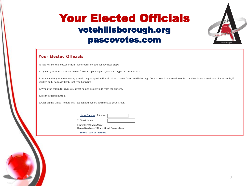#### Your Elected Officials votehillsborough.org pascovotes.com

#### **Your Elected Officials**

To locate all of the elected officials who represent you, follow these steps:

1. Type in your house number below. (Do not copy and paste, you must type the number in.)

2. As you enter your street name, you will be prompted with valid street names found in Hillsborough County. You do not need to enter the direction or street type. For example, if you live on E. Kennedy Blvd., just type Kennedy.

3. When the computer gives you street names, select yours from the options.

4. Hit the submit button.

5. Click on the Office Holders link, just beneath where you selected your street.

| 1. House Number of Address |  |
|----------------------------|--|
| 2. Street Name:            |  |

Example: 101 Main Street House Number = 101 and Street Name = Main

Show a list of all Precincts.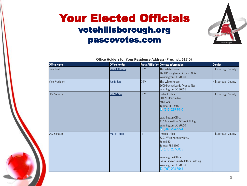#### Your Elected Officials votehillsborough.org pascovotes.com



| <b>Office Name</b>    | <b>Office Holder</b> |            | <b>Party Affiliation Contact Information</b>                                                                                                                                                                                       | <b>District</b>            |
|-----------------------|----------------------|------------|------------------------------------------------------------------------------------------------------------------------------------------------------------------------------------------------------------------------------------|----------------------------|
| President             | <b>Barack Obama</b>  | <b>DEM</b> | The White House<br>1600 Pennsylvania Avenue N.W.<br>Washington, DC 20500                                                                                                                                                           | <b>Hillsborough County</b> |
| <b>Vice President</b> | Joe Biden            | <b>DEM</b> | The White House<br>1600 Pennsylvania Avenue NW<br>Washington, DC 20501                                                                                                                                                             | Hillsborough County        |
| U.S. Senator          | <b>Bill Nelson</b>   | <b>DEM</b> | <b>District Office</b><br>801 N. Florida Ave.<br>4th Floor<br>Tampa, FL 33602<br><b>S</b> $(813)$ 225-7040<br><b>Washington Office</b><br>716 Senate Hart Office Building<br>Washington, DC 20510<br>$\binom{1}{2}$ (202) 224-5274 | Hillsborough County        |
| U.S. Senator          | Marco Rubio          | <b>REP</b> | <b>District Office</b><br>5201 West Kennedy Blvd.<br>Suite 530<br>Tampa, FL 33609<br>$\Theta$ (813) 287-5035<br><b>Washington Office</b><br><b>B40A Dirksen Senate Office Building</b><br>Washington, DC 20510<br>$9(202)224-3041$ | Hillsborough County        |

Office Holders for Your Residence Address (Precinct: 617.0)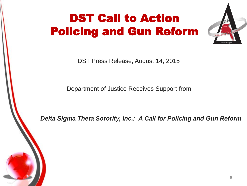## DST Call to Action Policing and Gun Reform



DST Press Release, August 14, 2015

Department of Justice Receives Support from

*Delta Sigma Theta Sorority, Inc.: A Call for Policing and Gun Reform*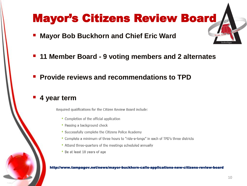#### Mayor's Citizens Review Board

- **Mayor Bob Buckhorn and Chief Eric Ward**
- **11 Member Board - 9 voting members and 2 alternates**
- **Provide reviews and recommendations to TPD**
- **4 year term**

Required qualifications for the Citizen Review Board include:

- Completion of the official application
- Passing a background check
- \* Successfully complete the Citizens Police Academy
- \* Complete a minimum of three hours to "ride-a-longs" in each of TPD's three districts
- Attend three-quarters of the meetings scheduled annually
- \* Be at least 18 years of age

#### http://www.tampagov.net/news/mayor-buckhorn-calls-applications-new-citizens-review-board